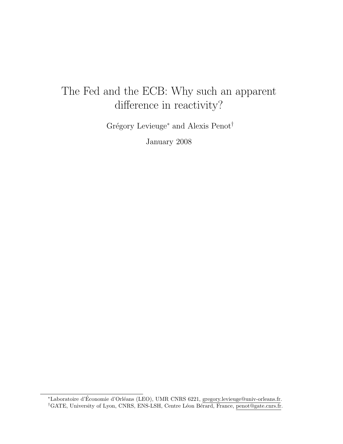# The Fed and the ECB: Why such an apparent difference in reactivity?

Grégory Levieuge<sup>∗</sup> and Alexis Penot<sup>†</sup>

January 2008

<sup>\*</sup>Laboratoire d'Économie d'Orléans (LEO), UMR CNRS 6221, gregory.levieuge@univ-orleans.fr. <sup>†</sup>GATE, University of Lyon, CNRS, ENS-LSH, Centre Léon Bérard, France, penot@gate.cnrs.fr.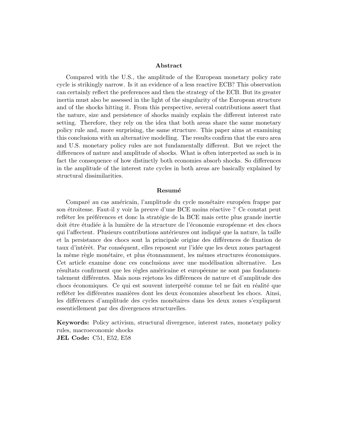#### Abstract

Compared with the U.S., the amplitude of the European monetary policy rate cycle is strikingly narrow. Is it an evidence of a less reactive ECB? This observation can certainly reflect the preferences and then the strategy of the ECB. But its greater inertia must also be assessed in the light of the singularity of the European structure and of the shocks hitting it. From this perspective, several contributions assert that the nature, size and persistence of shocks mainly explain the different interest rate setting. Therefore, they rely on the idea that both areas share the same monetary policy rule and, more surprising, the same structure. This paper aims at examining this conclusions with an alternative modelling. The results confirm that the euro area and U.S. monetary policy rules are not fundamentally different. But we reject the differences of nature and amplitude of shocks. What is often interpreted as such is in fact the consequence of how distinctly both economies absorb shocks. So differences in the amplitude of the interest rate cycles in both areas are basically explained by structural dissimilarities.

#### Resumé

Comparé au cas américain, l'amplitude du cycle monétaire européen frappe par son étroitesse. Faut-il y voir la preuve d'une BCE moins réactive ? Ce constat peut refléter les préférences et donc la stratégie de la BCE mais cette plus grande inertie doit être étudiée à la lumière de la structure de l'économie européenne et des chocs qui l'affectent. Plusieurs contributions antérieures ont indiqué que la nature, la taille et la persistance des chocs sont la principale origine des différences de fixation de taux d'intérêt. Par conséquent, elles reposent sur l'idée que les deux zones partagent la même règle monétaire, et plus étonnamment, les mêmes structures économiques. Cet article examine donc ces conclusions avec une modélisation alternative. Les résultats confirment que les règles américaine et européenne ne sont pas fondamentalement différentes. Mais nous rejetons les différences de nature et d'amplitude des chocs économiques. Ce qui est souvent interprété comme tel ne fait en réalité que refléter les différentes manières dont les deux économies absorbent les chocs. Ainsi, les différences d'amplitude des cycles monétaires dans les deux zones s'expliquent essentiellement par des divergences structurelles.

Keywords: Policy activism, structural divergence, interest rates, monetary policy rules, macroeconomic shocks JEL Code: C51, E52, E58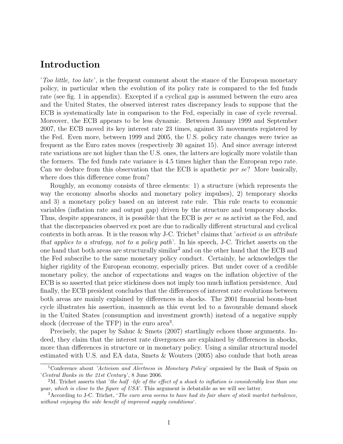### Introduction

'Too little, too late', is the frequent comment about the stance of the European monetary policy, in particular when the evolution of its policy rate is compared to the fed funds rate (see fig. 1 in appendix). Excepted if a cyclical gap is assumed between the euro area and the United States, the observed interest rates discrepancy leads to suppose that the ECB is systematically late in comparison to the Fed, especially in case of cycle reversal. Moreover, the ECB appears to be less dynamic. Between January 1999 and September 2007, the ECB moved its key interest rate 23 times, against 35 movements registered by the Fed. Even more, between 1999 and 2005, the U.S. policy rate changes were twice as frequent as the Euro rates moves (respectively 30 against 15). And since average interest rate variations are not higher than the U.S. ones, the latters are logically more volatile than the formers. The fed funds rate variance is 4.5 times higher than the European repo rate. Can we deduce from this observation that the ECB is apathetic *per se*? More basically, where does this difference come from?

Roughly, an economy consists of three elements: 1) a structure (which represents the way the economy absorbs shocks and monetary policy impulses), 2) temporary shocks and 3) a monetary policy based on an interest rate rule. This rule reacts to economic variables (inflation rate and output gap) driven by the structure and temporary shocks. Thus, despite appearances, it is possible that the ECB is *per se* as activist as the Fed, and that the discrepancies observed ex post are due to radically different structural and cyclical contexts in both areas. It is the reason why J-C. Trichet<sup>1</sup> claims that 'activist is an attribute that applies to a strategy, not to a policy path'. In his speech, J-C. Trichet asserts on the one hand that both areas are structurally similar<sup>2</sup> and on the other hand that the ECB and the Fed subscribe to the same monetary policy conduct. Certainly, he acknowledges the higher rigidity of the European economy, especially prices. But under cover of a credible monetary policy, the anchor of expectations and wages on the inflation objective of the ECB is so asserted that price stickiness does not imply too much inflation persistence. And finally, the ECB president concludes that the differences of interest rate evolutions between both areas are mainly explained by differences in shocks. The 2001 financial boom-bust cycle illustrates his assertion, inasmuch as this event led to a favourable demand shock in the United States (consumption and investment growth) instead of a negative supply shock (decrease of the TFP) in the euro area<sup>3</sup>.

Precisely, the paper by Sahuc & Smets (2007) startlingly echoes those arguments. Indeed, they claim that the interest rate divergences are explained by differences in shocks, more than differences in structure or in monetary policy. Using a similar structural model estimated with U.S. and EA data, Smets & Wouters (2005) also conlude that both areas

<sup>&</sup>lt;sup>1</sup>Conference about 'Activism and Alertness in Monetary Policy' organised by the Bank of Spain on 'Central Banks in the 21st Century', 8 June 2006.

<sup>&</sup>lt;sup>2</sup>M. Trichet asserts that 'the half –life of the effect of a shock to inflation is considerably less than one year, which is close to the figure of  $USA'$ . This argument is debatable as we will see latter.

 $3$ According to J-C. Trichet, 'The euro area seems to have had its fair share of stock market turbulence, without enjoying the side benefit of improved supply conditions'.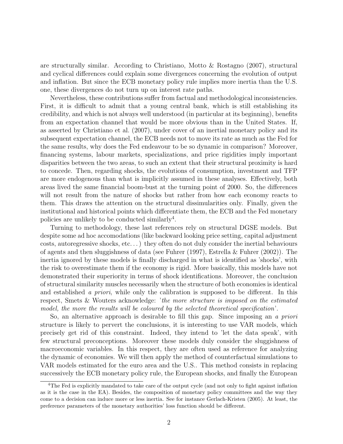are structurally similar. According to Christiano, Motto & Rostagno (2007), structural and cyclical differences could explain some divergences concerning the evolution of output and inflation. But since the ECB monetary policy rule implies more inertia than the U.S. one, these divergences do not turn up on interest rate paths.

Nevertheless, these contributions suffer from factual and methodological inconsistencies. First, it is difficult to admit that a young central bank, which is still establishing its credibility, and which is not always well understood (in particular at its beginning), benefits from an expectation channel that would be more obvious than in the United States. If, as asserted by Christiano et al. (2007), under cover of an inertial monetary policy and its subsequent expectation channel, the ECB needs not to move its rate as much as the Fed for the same results, why does the Fed endeavour to be so dynamic in comparison? Moreover, financing systems, labour markets, specializations, and price rigidities imply important disparities between the two areas, to such an extent that their structural proximity is hard to concede. Then, regarding shocks, the evolutions of consumption, investment and TFP are more endogenous than what is implicitly assumed in these analyses. Effectively, both areas lived the same financial boom-bust at the turning point of 2000. So, the differences will not result from the nature of shocks but rather from how each economy reacts to them. This draws the attention on the structural dissimularities only. Finally, given the institutional and historical points which differentiate them, the ECB and the Fed monetary policies are unlikely to be conducted similarly<sup>4</sup>.

Turning to methodology, these last references rely on structural DGSE models. But despite some ad hoc accomodations (like backward looking price setting, capital adjustment costs, autoregressive shocks, etc. . . ) they often do not duly consider the inertial behaviours of agents and then sluggishness of data (see Fuhrer (1997), Estrella & Fuhrer (2002)). The inertia ignored by these models is finally discharged in what is identified as 'shocks', with the risk to overestimate them if the economy is rigid. More basically, this models have not demonstrated their superiority in terms of shock identifications. Moreover, the conclusion of structural similarity muscles necessarily when the structure of both economies is identical and established a priori, while only the calibration is supposed to be different. In this respect, Smets & Wouters acknowledge: 'the more structure is imposed on the estimated model, the more the results will be coloured by the selected theoretical specification'.

So, an alternative approach is desirable to fill this gap. Since imposing an a priori structure is likely to pervert the conclusions, it is interesting to use VAR models, which precisely get rid of this constraint. Indeed, they intend to 'let the data speak', with few structural preconceptions. Moreover these models duly consider the sluggishness of macroeconomic variables. In this respect, they are often used as reference for analyzing the dynamic of economies. We will then apply the method of counterfactual simulations to VAR models estimated for the euro area and the U.S.. This method consists in replacing successively the ECB monetary policy rule, the European shocks, and finally the European

<sup>4</sup>The Fed is explicitly mandated to take care of the output cycle (and not only to fight against inflation as it is the case in the EA). Besides, the composition of monetary policy committees and the way they come to a decision can induce more or less inertia. See for instance Gerlach-Kristen (2005). At least, the preference parameters of the monetary authorities' loss function should be different.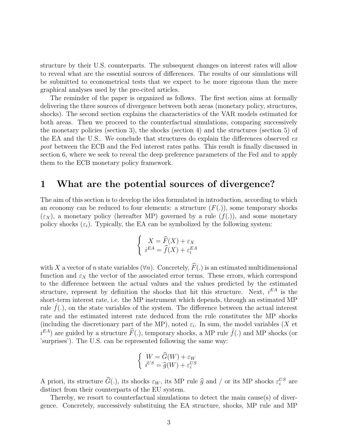structure by their U.S. counterparts. The subsequent changes on interest rates will allow to reveal what are the essential sources of differences. The results of our simulations will be submitted to econometrical tests that we expect to be more rigorous than the mere graphical analyses used by the pre-cited articles.

The reminder of the paper is organized as follows. The first section aims at formally delivering the three sources of divergence between both areas (monetary policy, structures, shocks). The second section explains the characteristics of the VAR models estimated for both areas. Then we proceed to the counterfactual simulations, comparing successively the monetary policies (section 3), the shocks (section 4) and the structures (section 5) of the EA and the U.S.. We conclude that structures do explain the differences observed expost between the ECB and the Fed interest rates paths. This result is finally discussed in section 6, where we seek to reveal the deep preference parameters of the Fed and to apply them to the ECB monetary policy framework.

### 1 What are the potential sources of divergence?

The aim of this section is to develop the idea formulated in introduction, according to which an economy can be reduced to four elements: a structure  $(F(.))$ , some temporary shocks  $(\varepsilon_{X})$ , a monetary policy (hereafter MP) governed by a rule  $(f(.))$ , and some monetary policy shocks  $(\varepsilon_i)$ . Typically, the EA can be symbolized by the following system:

$$
\begin{cases}\nX = \widehat{F}(X) + \varepsilon_X \\
i^{EA} = \widehat{f}(X) + \varepsilon_i^{EA}\n\end{cases}
$$

with X a vector of n state variables  $(\forall n)$ . Concretely,  $\widehat{F}(\cdot)$  is an estimated multidimensional function and  $\varepsilon_X$  the vector of the associated error terms. These errors, which correspond to the difference between the actual values and the values predicted by the estimated structure, represent by definition the shocks that hit this structure. Next,  $i^{EA}$  is the short-term interest rate, i.e. the MP instrument which depends, through an estimated MP rule  $f(.)$ , on the state variables of the system. The difference between the actual interest rate and the estimated interest rate deduced from the rule constitutes the MP shocks (including the discretionary part of the MP), noted  $\varepsilon_i$ . In sum, the model variables (X et  $i^{EA}$ ) are guided by a structure  $\widehat{F}(.)$ , temporary shocks, a MP rule  $\widehat{f}(.)$  and MP shocks (or 'surprises'). The U.S. can be represented following the same way:

$$
\begin{cases} W = \widehat{G}(W) + \varepsilon_W \\ i^{US} = \widehat{g}(W) + \varepsilon_i^{US} \end{cases}
$$

A priori, its structure  $\hat{G}(.)$ , its shocks  $\varepsilon_W$ , its MP rule  $\hat{g}$  and / or its MP shocks  $\varepsilon_i^{US}$  are distinct from their counterparts of the EU system. distinct from their counterparts of the EU system.

Thereby, we resort to counterfactual simulations to detect the main cause(s) of divergence. Concretely, successively substituing the EA structure, shocks, MP rule and MP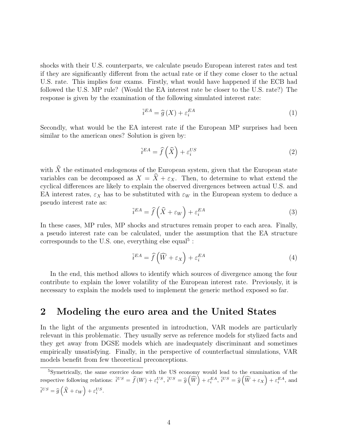shocks with their U.S. counterparts, we calculate pseudo European interest rates and test if they are significantly different from the actual rate or if they come closer to the actual U.S. rate. This implies four exams. Firstly, what would have happened if the ECB had followed the U.S. MP rule? (Would the EA interest rate be closer to the U.S. rate?) The response is given by the examination of the following simulated interest rate:

$$
\tilde{i}^{EA} = \hat{g}(X) + \varepsilon_i^{EA} \tag{1}
$$

Secondly, what would be the EA interest rate if the European MP surprises had been similar to the american ones? Solution is given by:

$$
\tilde{i}^{EA} = \hat{f}\left(\hat{X}\right) + \varepsilon_i^{US} \tag{2}
$$

with  $\widehat{X}$  the estimated endogenous of the European system, given that the European state variables can be decomposed as  $X = \hat{X} + \varepsilon_X$ . Then, to determine to what extend the cyclical differences are likely to explain the observed divergences between actual U.S. and EA interest rates,  $\varepsilon_X$  has to be substituted with  $\varepsilon_W$  in the European system to deduce a pseudo interest rate as:

$$
\tilde{i}^{EA} = \hat{f}\left(\hat{X} + \varepsilon_W\right) + \varepsilon_i^{EA} \tag{3}
$$

In these cases, MP rules, MP shocks and structures remain proper to each area. Finally, a pseudo interest rate can be calculated, under the assumption that the EA structure correspounds to the U.S. one, everything else equal<sup>5</sup>:

$$
\tilde{i}^{EA} = \hat{f}\left(\widehat{W} + \varepsilon_X\right) + \varepsilon_i^{EA} \tag{4}
$$

In the end, this method allows to identify which sources of divergence among the four contribute to explain the lower volatility of the European interest rate. Previously, it is necessary to explain the models used to implement the generic method exposed so far.

### 2 Modeling the euro area and the United States

In the light of the arguments presented in introduction, VAR models are particularly relevant in this problematic. They usually serve as reference models for stylized facts and they get away from DGSE models which are inadequately discriminant and sometimes empirically unsatisfying. Finally, in the perspective of counterfactual simulations, VAR models benefit from few theoretical preconceptions.

<sup>5</sup>Symetrically, the same exercice done with the US economy would lead to the examination of the respective following relations:  $\tilde{i}^{US} = \hat{f}(W) + \varepsilon_i^{US}, \, \tilde{i}^{US} = \hat{g}(\widehat{W}) + \varepsilon_i^{EA}, \, \tilde{i}^{US} = \hat{g}(\widehat{W} + \varepsilon_X) + \varepsilon_i^{EA}$ , and  $\tilde{i}^{US} = \hat{g}\left(\hat{X} + \varepsilon_W\right) + \varepsilon_i^{US}.$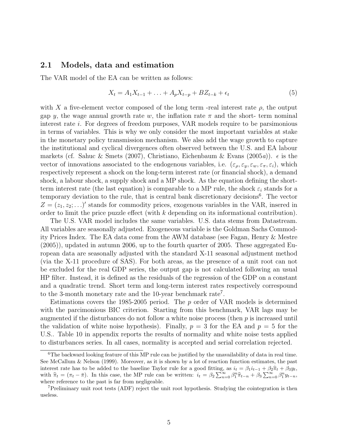#### 2.1 Models, data and estimation

The VAR model of the EA can be written as follows:

$$
X_t = A_1 X_{t-1} + \ldots + A_p X_{t-p} + B Z_{t-k} + \epsilon_t \tag{5}
$$

with X a five-element vector composed of the long term -real interest rate  $\rho$ , the output gap y, the wage annual growth rate w, the inflation rate  $\pi$  and the short- term nominal interest rate i. For degrees of freedom purposes, VAR models require to be parsimonious in terms of variables. This is why we only consider the most important variables at stake in the monetary policy transmission mechanism. We also add the wage growth to capture the institutional and cyclical divergences often observed between the U.S. and EA labour markets (cf. Sahuc & Smets (2007), Christiano, Eichenbaum & Evans (2005a)).  $\epsilon$  is the vector of innovations associated to the endogenous variables, i.e.  $(\varepsilon_{\rho}, \varepsilon_{y}, \varepsilon_{w}, \varepsilon_{\pi}, \varepsilon_{i})$ , which respectively represent a shock on the long-term interest rate (or financial shock), a demand shock, a labour shock, a supply shock and a MP shock. As the equation defining the shortterm interest rate (the last equation) is comparable to a MP rule, the shock  $\varepsilon_i$  stands for a temporary deviation to the rule, that is central bank discretionary decisions<sup>6</sup>. The vector  $Z = (z_1, z_2; \ldots)'$  stands for commodity prices, exogenous variables in the VAR, insered in order to limit the price puzzle effect (with k depending on its informational contribution).

The U.S. VAR model includes the same variables. U.S. data stems from Datastream. All variables are seasonally adjusted. Exogeneous variable is the Goldman Sachs Commodity Prices Index. The EA data come from the AWM database (see Fagan, Henry & Mestre (2005)), updated in autumn 2006, up to the fourth quarter of 2005. These aggregated European data are seasonally adjusted with the standard X-11 seasonal adjustment method (via the X-11 procedure of SAS). For both areas, as the presence of a unit root can not be excluded for the real GDP series, the output gap is not calculated following an usual HP filter. Instead, it is defined as the residuals of the regression of the GDP on a constant and a quadratic trend. Short term and long-term interest rates respectively correspound to the 3-month monetary rate and the 10-year benchmark rate<sup>7</sup>.

Estimations covers the 1985-2005 period. The  $p$  order of VAR models is determined with the parcimonious BIC criterion. Starting from this benchmark, VAR lags may be augmented if the disturbances do not follow a white noise process (then  $p$  is increased until the validation of white noise hypothesis). Finally,  $p = 3$  for the EA and  $p = 5$  for the U.S.. Table 10 in appendix reports the results of normality and white noise tests applied to disturbances series. In all cases, normality is accepted and serial correlation rejected.

<sup>&</sup>lt;sup>6</sup>The backward looking feature of this MP rule can be justified by the unavailability of data in real time. See McCallum & Nelson (1999). Moreover, as it is shown by a lot of reaction function estimates, the past interest rate has to be added to the baseline Taylor rule for a good fitting, as  $i_t = \beta_1 i_{t-1} + \beta_2 \hat{\pi}_t + \beta_3 y_t$ , with  $\hat{\pi}_t = (\pi_t - \bar{\pi})$ . In this case, the MP rule can be written:  $i_t = \beta_2 \sum_{n=0}^{\infty} \beta_1^n \hat{\pi}_{t-n} + \beta_3 \sum_{n=0}^{\infty} \beta_1^n y_{t-n}$ , where reference to the past is far from negligeable.

<sup>7</sup>Preliminary unit root tests (ADF) reject the unit root hypothesis. Studying the cointegration is then useless.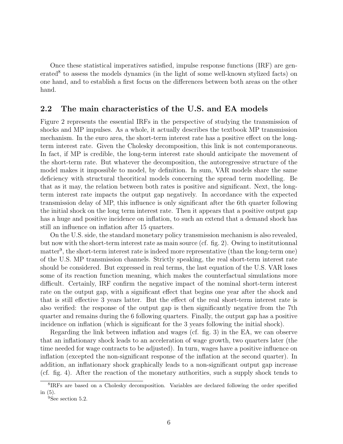Once these statistical imperatives satisfied, impulse response functions (IRF) are generated<sup>8</sup> to assess the models dynamics (in the light of some well-known stylized facts) on one hand, and to establish a first focus on the differences between both areas on the other hand.

#### 2.2 The main characteristics of the U.S. and EA models

Figure 2 represents the essential IRFs in the perspective of studying the transmission of shocks and MP impulses. As a whole, it actually describes the textbook MP transmission mechanism. In the euro area, the short-term interest rate has a positive effect on the longterm interest rate. Given the Cholesky decomposition, this link is not contemporaneous. In fact, if MP is credible, the long-term interest rate should anticipate the movement of the short-term rate. But whatever the decomposition, the autoregressive structure of the model makes it impossible to model, by definition. In sum, VAR models share the same deficiency with structural theoritical models concerning the spread term modelling. Be that as it may, the relation between both rates is positive and significant. Next, the longterm interest rate impacts the output gap negatively. In accordance with the expected transmission delay of MP, this influence is only significant after the 6th quarter following the initial shock on the long term interest rate. Then it appears that a positive output gap has a huge and positive incidence on inflation, to such an extend that a demand shock has still an influence on inflation after 15 quarters.

On the U.S. side, the standard monetary policy transmission mechanism is also revealed, but now with the short-term interest rate as main source (cf. fig. 2). Owing to institutionnal matter<sup>9</sup>, the short-term interest rate is indeed more representative (than the long-term one) of the U.S. MP transmission channels. Strictly speaking, the real short-term interest rate should be considered. But expressed in real terms, the last equation of the U.S. VAR loses some of its reaction function meaning, which makes the counterfactual simulations more difficult. Certainly, IRF confirm the negative impact of the nominal short-term interest rate on the output gap, with a significant effect that begins one year after the shock and that is still effective 3 years latter. But the effect of the real short-term interest rate is also verified: the response of the output gap is then significantly negative from the 7th quarter and remains during the 6 following quarters. Finally, the output gap has a positive incidence on inflation (which is significant for the 3 years following the initial shock).

Regarding the link between inflation and wages (cf. fig. 3) in the EA, we can observe that an inflationary shock leads to an acceleration of wage growth, two quarters later (the time needed for wage contracts to be adjusted). In turn, wages have a positive influence on inflation (excepted the non-significant response of the inflation at the second quarter). In addition, an inflationary shock graphically leads to a non-significant output gap increase (cf. fig. 4). After the reaction of the monetary authorities, such a supply shock tends to

<sup>8</sup> IRFs are based on a Cholesky decomposition. Variables are declared following the order specified in (5).

<sup>&</sup>lt;sup>9</sup>See section 5.2.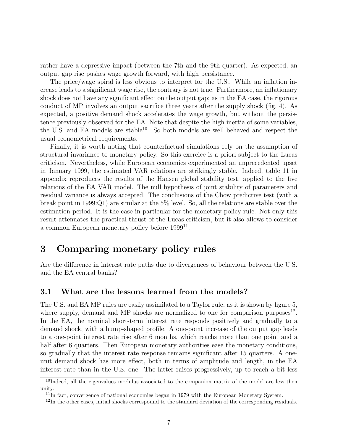rather have a depressive impact (between the 7th and the 9th quarter). As expected, an output gap rise pushes wage growth forward, with high persistance.

The price/wage spiral is less obvious to interpret for the U.S.. While an inflation increase leads to a significant wage rise, the contrary is not true. Furthermore, an inflationary shock does not have any significant effect on the output gap; as in the EA case, the rigorous conduct of MP involves an output sacrifice three years after the supply shock (fig. 4). As expected, a positive demand shock accelerates the wage growth, but without the persistence previously observed for the EA. Note that despite the high inertia of some variables, the U.S. and EA models are stable<sup>10</sup>. So both models are well behaved and respect the usual econometrical requirements.

Finally, it is worth noting that counterfactual simulations rely on the assumption of structural invariance to monetary policy. So this exercice is a priori subject to the Lucas criticism. Nevertheless, while European economies experimented an unprecedented upset in January 1999, the estimated VAR relations are strikingly stable. Indeed, table 11 in appendix reproduces the results of the Hansen global stability test, applied to the five relations of the EA VAR model. The null hypothesis of joint stability of parameters and residual variance is always accepted. The conclusions of the Chow predictive test (with a break point in 1999:Q1) are similar at the 5% level. So, all the relations are stable over the estimation period. It is the case in particular for the monetary policy rule. Not only this result attenuates the practical thrust of the Lucas criticism, but it also allows to consider a common European monetary policy before 1999<sup>11</sup>.

### 3 Comparing monetary policy rules

Are the difference in interest rate paths due to divergences of behaviour between the U.S. and the EA central banks?

#### 3.1 What are the lessons learned from the models?

The U.S. and EA MP rules are easily assimilated to a Taylor rule, as it is shown by figure 5, where supply, demand and MP shocks are normalized to one for comparison purposes<sup>12</sup>. In the EA, the nominal short-term interest rate responds positively and gradually to a demand shock, with a hump-shaped profile. A one-point increase of the output gap leads to a one-point interest rate rise after 6 months, which reachs more than one point and a half after 6 quarters. Then European monetary authorities ease the monetary conditions, so gradually that the interest rate response remains significant after 15 quarters. A oneunit demand shock has more effect, both in terms of amplitude and length, in the EA interest rate than in the U.S. one. The latter raises progressively, up to reach a bit less

<sup>&</sup>lt;sup>10</sup>Indeed, all the eigenvalues modulus associated to the companion matrix of the model are less then unity.

 $11$ In fact, convergence of national economies began in 1979 with the European Monetary System.

<sup>&</sup>lt;sup>12</sup>In the other cases, initial shocks correspound to the standard deviation of the corresponding residuals.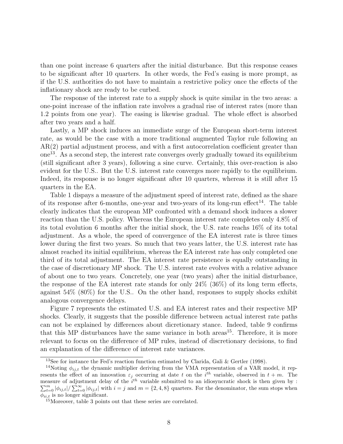than one point increase 6 quarters after the initial disturbance. But this response ceases to be significant after 10 quarters. In other words, the Fed's easing is more prompt, as if the U.S. authorities do not have to maintain a restrictive policy once the effects of the inflationary shock are ready to be curbed.

The response of the interest rate to a supply shock is quite similar in the two areas: a one-point increase of the inflation rate involves a gradual rise of interest rates (more than 1.2 points from one year). The easing is likewise gradual. The whole effect is absorbed after two years and a half.

Lastly, a MP shock induces an immediate surge of the European short-term interest rate, as would be the case with a more traditional augmented Taylor rule following an AR(2) partial adjustment process, and with a first autocorrelation coefficient greater than one<sup>13</sup>. As a second step, the interest rate converges overly gradually toward its equilibrium (still significant after 3 years), following a sine curve. Certainly, this over-reaction is also evident for the U.S.. But the U.S. interest rate converges more rapidly to the equilibrium. Indeed, its response is no longer significant after 10 quarters, whereas it is still after 15 quarters in the EA.

Table 1 dispays a measure of the adjustment speed of interest rate, defined as the share of its response after 6-months, one-year and two-years of its long-run effect<sup>14</sup>. The table clearly indicates that the european MP confronted with a demand shock induces a slower reaction than the U.S. policy. Whereas the European interest rate completes only 4.8% of its total evolution 6 months after the initial shock, the U.S. rate reachs 16% of its total adjustment. As a whole, the speed of convergence of the EA interest rate is three times lower during the first two years. So much that two years latter, the U.S. interest rate has almost reached its initial equilibrium, whereas the EA interest rate has only completed one third of its total adjustment. The EA interest rate persistence is equally outstanding in the case of discretionary MP shock. The U.S. interest rate evolves with a relative advance of about one to two years. Concretely, one year (two years) after the initial disturbance, the response of the EA interest rate stands for only 24% (36%) of its long term effects, against 54% (80%) for the U.S.. On the other hand, responses to supply shocks exhibit analogous convergence delays.

Figure 7 represents the estimated U.S. and EA interest rates and their respective MP shocks. Clearly, it suggests that the possible difference between actual interest rate paths can not be explained by differences about dicretionary stance. Indeed, table 9 confirms that this MP disturbances have the same variance in both areas<sup>15</sup>. Therefore, it is more relevant to focus on the difference of MP rules, instead of discretionary decisions, to find an explanation of the difference of interest rate variances.

<sup>&</sup>lt;sup>13</sup>See for instance the Fed's reaction function estimated by Clarida, Gali & Gertler (1998).

<sup>&</sup>lt;sup>14</sup>Noting  $\phi_{ij,t}$  the dynamic multiplier deriving from the VMA representation of a VAR model, it represents the effect of an innovation  $\varepsilon_j$  occurring at date t on the i<sup>th</sup> variable, observed in  $t + m$ . The measure of adjustment delay of the  $i^{th}$  variable submitted to an idiosyncratic shock is then given by :  $\sum_{t=0}^{m} |\phi_{ij,t}| / \sum_{t=0}^{\infty} |\phi_{ij,t}|$  with  $i = j$  and  $m = \{2, 4, 8\}$  quarters. For the denominator, the sum stops when  $\phi_{ii,t}$  is no longer significant.

<sup>15</sup>Moreover, table 3 points out that these series are correlated.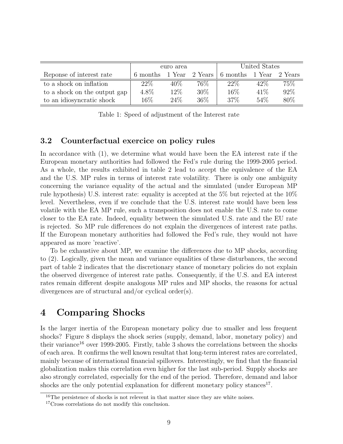|                              | euro area |        |         | United States |        |         |
|------------------------------|-----------|--------|---------|---------------|--------|---------|
| Reponse of interest rate     | 6 months  | 1 Year | 2 Years | 6 months      | 1 Year | 2 Years |
| to a shock on inflation      | $22\%$    | $40\%$ | 76%     | $22\%$        | $42\%$ | 75%     |
| to a shock on the output gap | 4.8%      | 12%    | 30%     | 16\%          | 41\%   | 92%     |
| to an idiosyncratic shock    | $16\%$    | 24\%   | 36\%    | 37%           | 54\%   | 80\%    |

Table 1: Speed of adjustment of the Interest rate

### 3.2 Counterfactual exercice on policy rules

In accordance with (1), we determine what would have been the EA interest rate if the European monetary authorities had followed the Fed's rule during the 1999-2005 period. As a whole, the results exhibited in table 2 lead to accept the equivalence of the EA and the U.S. MP rules in terms of interest rate volatility. There is only one ambiguity concerning the variance equality of the actual and the simulated (under European MP rule hypothesis) U.S. interest rate: equality is accepted at the 5% but rejected at the 10% level. Nevertheless, even if we conclude that the U.S. interest rate would have been less volatile with the EA MP rule, such a transposition does not enable the U.S. rate to come closer to the EA rate. Indeed, equality between the simulated U.S. rate and the EU rate is rejected. So MP rule differences do not explain the divergences of interest rate paths. If the European monetary authorities had followed the Fed's rule, they would not have appeared as more 'reactive'.

To be exhaustive about MP, we examine the differences due to MP shocks, according to (2). Logically, given the mean and variance equalities of these disturbances, the second part of table 2 indicates that the discretionary stance of monetary policies do not explain the observed divergence of interest rate paths. Consequently, if the U.S. and EA interest rates remain different despite analogous MP rules and MP shocks, the reasons for actual divergences are of structural and/or cyclical order(s).

### 4 Comparing Shocks

Is the larger inertia of the European monetary policy due to smaller and less frequent shocks? Figure 8 displays the shock series (supply, demand, labor, monetary policy) and their variance<sup>16</sup> over 1999-2005. Firstly, table 3 shows the correlations between the shocks of each area. It confirms the well known resultat that long-term interest rates are correlated, mainly because of international financial spillovers. Interestingly, we find that the financial globalization makes this correlation even higher for the last sub-period. Supply shocks are also strongly correlated, especially for the end of the period. Therefore, demand and labor shocks are the only potential explanation for different monetary policy stances<sup>17</sup>.

<sup>&</sup>lt;sup>16</sup>The persistence of shocks is not relevent in that matter since they are white noises.

<sup>&</sup>lt;sup>17</sup>Cross correlations do not modify this conclusion.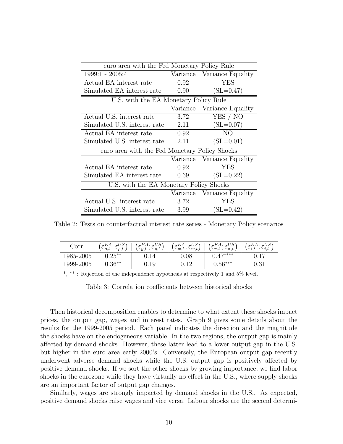| euro area with the Fed Monetary Policy Rule   |          |                            |  |  |  |
|-----------------------------------------------|----------|----------------------------|--|--|--|
| $1999:1 - 2005:4$                             |          | Variance Variance Equality |  |  |  |
| Actual EA interest rate                       | 0.92     | <b>YES</b>                 |  |  |  |
| Simulated EA interest rate                    | 0.90     | $(SL=0.47)$                |  |  |  |
| U.S. with the EA Monetary Policy Rule         |          |                            |  |  |  |
|                                               | Variance | Variance Equality          |  |  |  |
| Actual U.S. interest rate                     | 3.72     | YES / NO                   |  |  |  |
| Simulated U.S. interest rate                  | 2.11     | $(SL=0.07)$                |  |  |  |
| Actual EA interest rate                       | 0.92     | NO.                        |  |  |  |
| Simulated U.S. interest rate                  | 2.11     | $(SL=0.01)$                |  |  |  |
| euro area with the Fed Monetary Policy Shocks |          |                            |  |  |  |
|                                               |          | Variance Variance Equality |  |  |  |
| Actual EA interest rate                       | 0.92     | <b>YES</b>                 |  |  |  |
| Simulated EA interest rate                    | 0.69     | $(SL=0.22)$                |  |  |  |
| U.S. with the EA Monetary Policy Shocks       |          |                            |  |  |  |
|                                               |          | Variance Variance Equality |  |  |  |
| Actual U.S. interest rate                     | 3.72     | <b>YES</b>                 |  |  |  |
| Simulated U.S. interest rate                  | 3.99     | $(SL=0.42)$                |  |  |  |

Table 2: Tests on counterfactual interest rate series - Monetary Policy scenarios

| orr.      | ∽<br>$\check{ }$ | -<br>$\cup$ or | $\sim$<br>$\sim w$ .<br>$\vee w$ . | $\sim$<br>$-\pi$ .<br>$\backsim$ | $\cup$<br>ہ ب<br>1.1<br>$\mathbf{u}$ |
|-----------|------------------|----------------|------------------------------------|----------------------------------|--------------------------------------|
| 1985-2005 | $0.25***$        | J. 14          | $0.08\,$                           | $A 7$ ****                       | $\overline{1}$<br>∪.⊥                |
| 1999-2005 | $0.36**$         | ${)}.19$       | 16                                 | $0.56***$                        | בי ה<br>∪.∪⊥                         |

\*, \*\* : Rejection of the independence hypothesis at respectively 1 and 5% level.

Table 3: Correlation coefficients between historical shocks

Then historical decomposition enables to determine to what extent these shocks impact prices, the output gap, wages and interest rates. Graph 9 gives some details about the results for the 1999-2005 period. Each panel indicates the direction and the magnitude the shocks have on the endogeneous variable. In the two regions, the output gap is mainly affected by demand shocks. However, these latter lead to a lower output gap in the U.S. but higher in the euro area early 2000's. Conversely, the European output gap recently underwent adverse demand shocks while the U.S. output gap is positively affected by positive demand shocks. If we sort the other shocks by growing importance, we find labor shocks in the eurozone while they have virtually no effect in the U.S., where supply shocks are an important factor of output gap changes.

Similarly, wages are strongly impacted by demand shocks in the U.S.. As expected, positive demand shocks raise wages and vice versa. Labour shocks are the second determi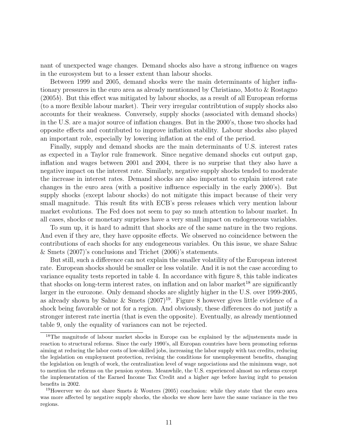nant of unexpected wage changes. Demand shocks also have a strong influence on wages in the eurosystem but to a lesser extent than labour shocks.

Between 1999 and 2005, demand shocks were the main determinants of higher inflationary pressures in the euro area as already mentionned by Christiano, Motto & Rostagno (2005b). But this effect was mitigated by labour shocks, as a result of all European reforms (to a more flexible labour market). Their very irregular contribtution of supply shocks also accounts for their weakness. Conversely, supply shocks (associated with demand shocks) in the U.S. are a major source of inflation changes. But in the 2000's, those two shocks had opposite effects and contributed to improve inflation stability. Labour shocks also played an important role, especially by lowering inflation at the end of the period.

Finally, supply and demand shocks are the main determinants of U.S. interest rates as expected in a Taylor rule framework. Since negative demand shocks cut output gap, inflation and wages between 2001 and 2004, there is no surprise that they also have a negative impact on the interest rate. Similarly, negative supply shocks tended to moderate the increase in interest rates. Demand shocks are also important to explain interest rate changes in the euro area (with a positive influence especially in the early 2000's). But supply shocks (except labour shocks) do not mitigate this impact because of their very small magnitude. This result fits with ECB's press releases which very mention labour market evolutions. The Fed does not seem to pay so much attention to labour market. In all cases, shocks or monetary surprises have a very small impact on endogeneous variables.

To sum up, it is hard to admitt that shocks are of the same nature in the two regions. And even if they are, they have opposite effects. We observed no coincidence between the contributions of each shocks for any endogeneous variables. On this issue, we share Sahuc & Smets (2007)'s conclusions and Trichet (2006)'s statements.

But still, such a difference can not explain the smaller volatility of the European interest rate. European shocks should be smaller or less volatile. And it is not the case according to variance equality tests reported in table 4. In accordance with figure 8, this table indicates that shocks on long-term interest rates, on inflation and on labor market<sup>18</sup> are significantly larger in the eurozone. Only demand shocks are slightly higher in the U.S. over 1999-2005, as already shown by Sahuc & Smets  $(2007)^{19}$ . Figure 8 however gives little evidence of a shock being favorable or not for a region. And obviously, these differences do not justify a stronger interest rate inertia (that is even the opposite). Eventually, as already mentionned table 9, only the equality of variances can not be rejected.

<sup>&</sup>lt;sup>18</sup>The magnitude of labour market shocks in Europe can be explained by the adjustements made in reaction to structural reforms. Since the early 1990's, all Europan countries have been promoting reforms aiming at reducing the labor costs of low-skilled jobs, increasing the labor supply with tax credits, reducing the legislation on employment protection, revising the conditions for unemployement benefits, changing the legislation on length of work, the centralization level of wage negociations and the minimum wage, not to mention the reforms on the pension system. Meanwhile, the U.S. experienced almost no reforms except the implementation of the Earned Income Tax Credit and a higher age before having irght to pension benefits in 2002.

<sup>&</sup>lt;sup>19</sup>Howerver we do not share Smets & Wouters (2005) conclusion: while they state that the euro area was more affected by negative supply shocks, the shocks we show here have the same variance in the two regions.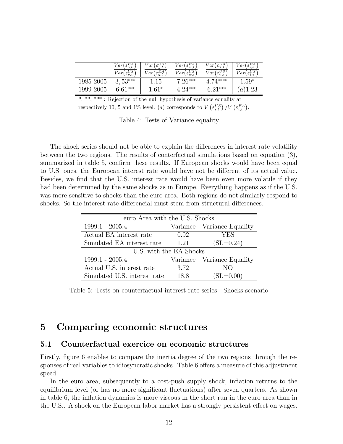|           | $\varepsilon^{EA}_{\rho,t}$<br>Var'<br>$\epsilon_{\rm s}^{\overline{U}\overline{S}}$<br>$\sqrt{ar}$<br>$\rho, t$ | $\varepsilon_{y,t}^{US}$<br>V ar (<br>$E^A$<br>Var<br>$\epsilon_{y,t}$ | E A<br>ar<br>$\varepsilon_{w,t}$<br>$_{\varepsilon}US$<br>Var<br>$\circ_{w,t}$ | $\varepsilon_{\pi,t}^{EA}$<br>V arl<br>$\varepsilon_{\pi,t}^{US}$<br>ar | $\epsilon_{i,t}^{EA}$<br>V ar<br>$\epsilon^{US}_{i,t}$<br>Var |
|-----------|------------------------------------------------------------------------------------------------------------------|------------------------------------------------------------------------|--------------------------------------------------------------------------------|-------------------------------------------------------------------------|---------------------------------------------------------------|
| 1985-2005 | $53***$<br>3,                                                                                                    | 15                                                                     | $7.26***$                                                                      | $71***$                                                                 | $1.59^*$                                                      |
| 1999-2005 | $6.61***$                                                                                                        | $.61*$                                                                 | $4.94***$                                                                      | $6.91***$                                                               | .23<br>$\boldsymbol{a}$                                       |

\*, \*\*\* : Rejection of the null hypothesis of variance equality at respectively 10, 5 and 1% level. (a) corresponds to  $V\left(\varepsilon_{i,t}^{US}\right)/V\left(\varepsilon_{i,t}^{EA}\right)$ .

Table 4: Tests of Variance equality

The shock series should not be able to explain the differences in interest rate volatility between the two regions. The results of conterfactual simulations based on equation (3), summarized in table 5, confirm these results. If European shocks would have been equal to U.S. ones, the European interest rate would have not be different of its actual value. Besides, we find that the U.S. interest rate would have been even more volatile if they had been determined by the same shocks as in Europe. Everything happens as if the U.S. was more sensitive to shocks than the euro area. Both regions do not similarly respond to shocks. So the interest rate differencial must stem from structural differences.

| euro Area with the U.S. Shocks |      |                            |  |  |  |
|--------------------------------|------|----------------------------|--|--|--|
| $1999:1 - 2005:4$              |      | Variance Variance Equality |  |  |  |
| Actual EA interest rate        | 0.92 | <b>YES</b>                 |  |  |  |
| Simulated EA interest rate     | 1.21 | $(SL=0.24)$                |  |  |  |
| U.S. with the EA Shocks        |      |                            |  |  |  |
| $1999:1 - 2005:4$              |      | Variance Variance Equality |  |  |  |
| Actual U.S. interest rate      | 3.72 | NO.                        |  |  |  |
| Simulated U.S. interest rate   | 18.8 | $(SL=0.00)$                |  |  |  |

Table 5: Tests on counterfactual interest rate series - Shocks scenario

### 5 Comparing economic structures

#### 5.1 Counterfactual exercice on economic structures

Firstly, figure 6 enables to compare the inertia degree of the two regions through the responses of real variables to idiosyncratic shocks. Table 6 offers a measure of this adjustment speed.

In the euro area, subsequently to a cost-push supply shock, inflation returns to the equilibrium level (or has no more significant fluctuations) after seven quarters. As shown in table 6, the inflation dynamics is more viscous in the short run in the euro area than in the U.S.. A shock on the European labor market has a strongly persistent effect on wages.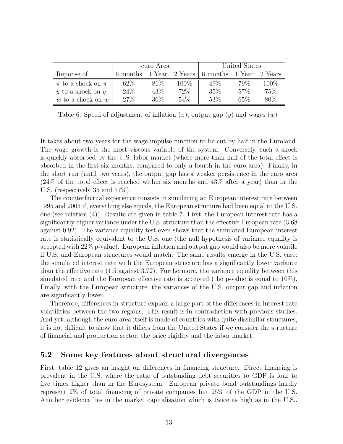|                           | euro Area |        |         | United States |        |         |
|---------------------------|-----------|--------|---------|---------------|--------|---------|
| Reponse of                | 6 months  | 1 Year | 2 Years | 6 months      | 1 Year | 2 Years |
| $\pi$ to a shock on $\pi$ | 62\%      | 81\%   | $100\%$ | 49\%          | 79\%   | $100\%$ |
| $y$ to a shock on $y$     | 24\%      | 43\%   | 72\%    | 35%           | 57%    | 75%     |
| w to a shock on $w$       | 27%       | 36\%   | 54\%    | 53%           | 65\%   | 80\%    |

Table 6: Speed of adjustment of inflation  $(\pi)$ , output gap  $(y)$  and wages  $(w)$ 

It takes about two years for the wage impulse function to be cut by half in the Euroland. The wage growth is the most viscous variable of the system. Conversely, such a shock is quickly absorbed by the U.S. labor market (where more than half of the total effect is absorbed in the first six months, compared to only a fourth in the euro area). Finally, in the short run (until two years), the output gap has a weaker persistence in the euro area (24% of the total effect is reached within six months and 43% after a year) than in the U.S. (respectively 35 and 57%).

The counterfactual experience consists in simulating an European interest rate between 1995 and 2005 if, everything else equals, the European structure had been equal to the U.S. one (see relation (4)). Results are given in table 7. First, the European interest rate has a significantly higher variance under the U.S. structure than the effective European rate (3.68 against 0.92). The variance equality test even shows that the simulated European interest rate is statistically equivalent to the U.S. one (the null hypothesis of variance equality is accepted with 22% p-value). European inflation and output gap would also be more volatile if U.S. and European structures would match. The same results emerge in the U.S. case: the simulated interest rate with the European structure has a significantly lower variance than the effective rate (1.5 against 3.72). Furthermore, the variance equality between this simulated rate and the European effective rate is accepted (the p-value is equal to 10%). Finally, with the European structure, the variances of the U.S. output gap and inflation are significantly lower.

Therefore, differences in structure explain a large part of the differences in interest rate volatilities between the two regions. This result is in contradiction with previous studies. And yet, although the euro area itself is made of countries with quite dissimilar structures, it is not difficult to show that it differs from the United States if we consider the structure of financial and production sector, the price rigidity and the labor market.

### 5.2 Some key features about structural divergences

First, table 12 gives an insight on differences in financing structure. Direct financing is prevalent in the U.S. where the ratio of outstanding debt securities to GDP is four to five times higher than in the Eurosystem. European private bond outstandings hardly represent 2% of total financing of private companies but 25% of the GDP in the U.S. Another evidence lies in the market capitalisation which is twice as high as in the U.S..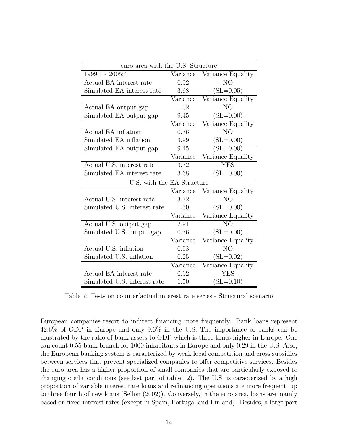| euro area with the U.S. Structure |                   |                   |  |  |  |  |
|-----------------------------------|-------------------|-------------------|--|--|--|--|
| $1999:1 - 2005:4$                 | $\bar{V}$ ariance | Variance Equality |  |  |  |  |
| Actual EA interest rate           | 0.92              | NO                |  |  |  |  |
| Simulated EA interest rate        | 3.68              | $(SL=0.05)$       |  |  |  |  |
|                                   | Variance          | Variance Equality |  |  |  |  |
| Actual EA output gap              | 1.02              | N <sub>O</sub>    |  |  |  |  |
| Simulated EA output gap           | 9.45              | $(SL=0.00)$       |  |  |  |  |
|                                   | Variance          | Variance Equality |  |  |  |  |
| Actual EA inflation               | 0.76              | NO                |  |  |  |  |
| Simulated EA inflation            | 3.99              | $(SL=0.00)$       |  |  |  |  |
| Simulated EA output gap           | 9.45              | $(SL=0.00)$       |  |  |  |  |
|                                   | Variance          | Variance Equality |  |  |  |  |
| Actual U.S. interest rate         | 3.72              | <b>YES</b>        |  |  |  |  |
| Simulated EA interest rate        | 3.68              | $(SL=0.00)$       |  |  |  |  |
| U.S. with the EA Structure        |                   |                   |  |  |  |  |
|                                   | Variance          | Variance Equality |  |  |  |  |
| Actual U.S. interest rate         | 3.72              | NO                |  |  |  |  |
| Simulated U.S. interest rate      | 1.50              | $(SL=0.00)$       |  |  |  |  |
|                                   | Variance          | Variance Equality |  |  |  |  |
| Actual U.S. output gap            | 2.91              | N <sub>O</sub>    |  |  |  |  |
| Simulated U.S. output gap         | 0.76              | $(SL=0.00)$       |  |  |  |  |
|                                   | Variance          | Variance Equality |  |  |  |  |
| Actual U.S. inflation             | 0.53              | N <sub>O</sub>    |  |  |  |  |
| Simulated U.S. inflation          | 0.25              | $(SL=0.02)$       |  |  |  |  |
|                                   | Variance          | Variance Equality |  |  |  |  |
| Actual EA interest rate           | 0.92              | <b>YES</b>        |  |  |  |  |
| Simulated U.S. interest rate      | 1.50              | $(SL=0.10)$       |  |  |  |  |

Table 7: Tests on counterfactual interest rate series - Structural scenario

European companies resort to indirect financing more frequently. Bank loans represent 42.6% of GDP in Europe and only 9.6% in the U.S. The importance of banks can be illustrated by the ratio of bank assets to GDP which is three times higher in Europe. One can count 0.55 bank branch for 1000 inhabitants in Europe and only 0.29 in the U.S. Also, the European banking system is caracterized by weak local competition and cross subsidies between services that prevent specialized companies to offer competitive services. Besides the euro area has a higher proportion of small companies that are particularly exposed to changing credit conditions (see last part of table 12). The U.S. is caracterized by a high proportion of variable interest rate loans and refinancing operations are more frequent, up to three fourth of new loans (Sellon (2002)). Conversely, in the euro area, loans are mainly based on fixed interest rates (except in Spain, Portugal and Finland). Besides, a large part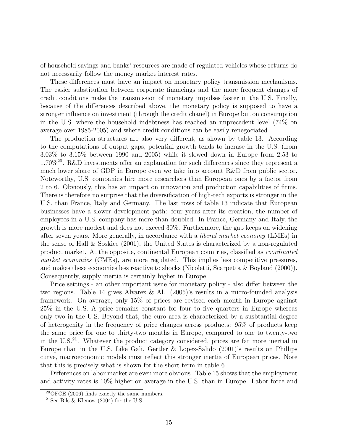of household savings and banks' resources are made of regulated vehicles whose returns do not necessarily follow the money market interest rates.

These differences must have an impact on monetary policy transmission mechanisms. The easier substitution between corporate financings and the more frequent changes of credit conditions make the transmission of monetary impulses faster in the U.S. Finally, because of the differences described above, the monetary policy is supposed to have a stronger influence on investment (through the credit chanel) in Europe but on consumption in the U.S. where the household indebtness has reached an unprecedent level (74% on average over 1985-2005) and where credit conditions can be easily renegociated.

The production structures are also very different, as shown by table 13. According to the computations of output gaps, potential growth tends to incrase in the U.S. (from 3.03% to 3.15% between 1990 and 2005) while it slowed down in Europe from 2.53 to 1.70%<sup>20</sup>. R&D investments offer an explanation for such differences since they represent a much lower share of GDP in Europe even we take into account R&D from public sector. Noteworthy, U.S. companies hire more researchers than European ones by a factor from 2 to 6. Obviously, this has an impact on innovation and production capabilities of firms. There is therefore no surprise that the diversification of high-tech exports is stronger in the U.S. than France, Italy and Germany. The last rows of table 13 indicate that European businesses have a slower development path: four years after its creation, the number of employees in a U.S. company has more than doubled. In France, Germany and Italy, the growth is more modest and does not exceed 30%. Furthermore, the gap keeps on widening after seven years. More generally, in accordance with a liberal market economy (LMEs) in the sense of Hall & Soskice (2001), the United States is characterized by a non-regulated product market. At the opposite, continental European countries, classified as coordinated market economies (CMEs), are more regulated. This implies less competitive pressures, and makes these economies less reactive to shocks (Nicoletti, Scarpetta & Boylaud (2000)). Consequently, supply inertia is certainly higher in Europe.

Price settings - an other important issue for monetary policy - also differ between the two regions. Table 14 gives Alvarez & Al. (2005)'s results in a micro-founded analysis framework. On average, only 15% of prices are revised each month in Europe against 25% in the U.S. A price remains constant for four to five quarters in Europe whereas only two in the U.S. Beyond that, the euro area is characterized by a susbtantial degree of heterogenity in the frequency of price changes across products: 95% of products keep the same price for one to thirty-two months in Europe, compared to one to twenty-two in the U.S.<sup>21</sup>. Whatever the product category considered, prices are far more inertial in Europe than in the U.S. Like Gali, Gertler & Lopez-Salido (2001)'s results on Phillips curve, macroeconomic models must reflect this stronger inertia of European prices. Note that this is precisely what is shown for the short term in table 6.

Differences on labor market are even more obvious. Table 15 shows that the employment and activity rates is 10% higher on average in the U.S. than in Europe. Labor force and

 ${}^{20}\text{OFCE}$  (2006) finds exactly the same numbers.

<sup>&</sup>lt;sup>21</sup>See Bils & Klenow (2004) for the U.S.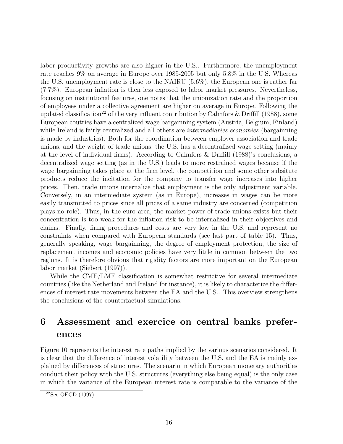labor productivity growths are also higher in the U.S.. Furthermore, the unemployment rate reaches 9% on average in Europe over 1985-2005 but only 5.8% in the U.S. Whereas the U.S. unemployment rate is close to the NAIRU (5.6%), the European one is rather far (7.7%). European inflation is then less exposed to labor market pressures. Nevertheless, focusing on institutional features, one notes that the unionization rate and the proportion of employees under a collective agreement are higher on average in Europe. Following the updated classification<sup>22</sup> of the very influent contribution by Calmfors & Driffill (1988), some European coutries have a centralized wage bargainning system (Austria, Belgium, Finland) while Ireland is fairly centralized and all others are *intermediaries economies* (bargainning is made by industries). Both for the coordination between employer association and trade unions, and the weight of trade unions, the U.S. has a decentralized wage setting (mainly at the level of individual firms). According to Calmfors & Driffill (1988)'s conclusions, a decentralized wage setting (as in the U.S.) leads to more restrained wages because if the wage bargainning takes place at the firm level, the competition and some other subsitute products reduce the incitation for the company to transfer wage increases into higher prices. Then, trade unions internalize that employment is the only adjustment variable. Conversely, in an intermediate system (as in Europe), increases in wages can be more easily transmitted to prices since all prices of a same industry are concerned (competition plays no role). Thus, in the euro area, the market power of trade unions exists but their concentration is too weak for the inflation risk to be internalized in their objectives and claims. Finally, firing procedures and costs are very low in the U.S. and represent no constraints when compared with European standards (see last part of table 15). Thus, generally speaking, wage bargainning, the degree of employment protection, the size of replacement incomes and economic policies have very little in common between the two regions. It is therefore obvious that rigidity factors are more important on the European labor market (Siebert (1997)).

While the CME/LME classification is somewhat restrictive for several intermediate countries (like the Netherland and Ireland for instance), it is likely to characterize the differences of interest rate movements between the EA and the U.S.. This overview strengthens the conclusions of the counterfactual simulations.

# 6 Assessment and exercice on central banks preferences

Figure 10 represents the interest rate paths implied by the various scenarios considered. It is clear that the difference of interest volatility between the U.S. and the EA is mainly explained by differences of structures. The scenario in which European monetary authorities conduct their policy with the U.S. structures (everything else being equal) is the only case in which the variance of the European interest rate is comparable to the variance of the

<sup>22</sup>See OECD (1997).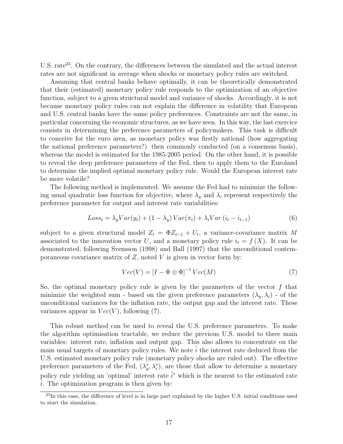U.S. rate<sup>23</sup>. On the contrary, the differences between the simulated and the actual interest rates are not significant in average when shocks or monetary policy rules are switched.

Assuming that central banks behave optimally, it can be theoretically demonstrated that their (estimated) monetary policy rule responds to the optimization of an objective function, subject to a given structural model and variance of shocks. Accordingly, it is not because monetary policy rules can not explain the difference in volatility that European and U.S. central banks have the same policy preferences. Constraints are not the same, in particular concerning the economic structures, as we have seen. In this way, the last exercice consists in determining the preference parameters of policymakers. This task is difficult to conceive for the euro area, as monetary policy was firstly national (how aggregating the national preference parameters?) then commonly conducted (on a consensus basis), whereas the model is estimated for the 1985-2005 period. On the other hand, it is possible to reveal the deep preference parameters of the Fed, then to apply them to the Euroland to determine the implied optimal monetary policy rule. Would the European interest rate be more volatile?

The following method is implemented. We assume the Fed had to minimize the following usual quadratic loss function for objective, where  $\lambda_y$  and  $\lambda_i$  represent respectively the preference parameter for output and interest rate variabilities:

$$
Loss_t = \lambda_y Var(y_t) + (1 - \lambda_y) Var(\pi_t) + \lambda_i Var(i_t - i_{t-1})
$$
\n(6)

subject to a given structural model  $Z_t = \Phi Z_{t-1} + U_t$ , a variance-covariance matrix M associated to the innovation vector U, and a monetary policy rule  $i_t = f(X)$ . It can be demonstrated, following Svensson (1998) and Ball (1997) that the unconditional contemporaneous covariance matrix of  $Z$ , noted  $V$  is given in vector form by:

$$
Vec(V) = [I - \Phi \otimes \Phi]^{-1} \, Vec(M) \tag{7}
$$

So, the optimal monetary policy rule is given by the parameters of the vector  $f$  that minimize the weighted sum - based on the given preference parameters  $(\lambda_y, \lambda_i)$  - of the unconditional variances for the inflation rate, the output gap and the interest rate. These variances appear in  $Vec(V)$ , following (7).

This robust method can be used to reveal the U.S. preference parameters. To make the algorithm optimisation tractable, we reduce the previous U.S. model to three main variables: interest rate, inflation and output gap. This also allows to concentrate on the main usual targets of monetary policy rules. We note  $i$  the interest rate deduced from the U.S. estimated monetary policy rule (monetary policy shocks are ruled out). The effective preference parameters of the Fed,  $(\lambda_y^*, \lambda_i^*)$ , are those that allow to determine a monetary policy rule yielding an 'optimal' interest rate  $\hat{i}^*$  which is the nearest to the estimated rate  $i$ . The optimization program is then given by:

<sup>&</sup>lt;sup>23</sup>In this case, the difference of level is in large part explained by the higher U.S. initial conditions used to start the simulation.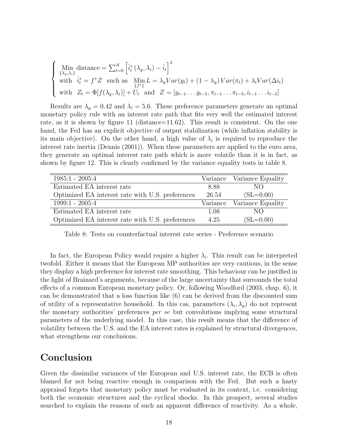$$
\begin{cases}\n\lim_{\{\lambda_y,\lambda_i\}} \text{distance} = \sum_{t=0}^{N} \left[ \hat{i}_t^* \left( \lambda_y, \lambda_i \right) - \hat{i}_t \right]^2 \\
\text{with} \quad \hat{i}_t^* = f^* Z \quad \text{such as} \quad \lim_{\{f^*\}} L = \lambda_y Var(y_t) + (1 - \lambda_y) Var(\pi_t) + \lambda_i Var(\Delta i_t) \\
\text{with} \quad Z_t = \Phi[f(\lambda_y, \lambda_i)] + U_t \quad \text{and} \quad Z = [y_{t-1} \dots y_{t-5}, \pi_{t-1} \dots \pi_{t-5}, i_{t-1} \dots i_{t-5}]\n\end{cases}
$$

Results are  $\lambda_y = 0.42$  and  $\lambda_i = 5.6$ . These preference parameters generate an optimal monetary policy rule with an interest rate path that fits very well the estimated interest rate, as it is shown by figure 11 (distance=11.62). This result is consistent. On the one hand, the Fed has an explicit objective of output stabilization (while inflation stability is its main objective). On the other hand, a high value of  $\lambda_i$  is required to reproduce the interest rate inertia (Dennis (2001)). When these parameters are applied to the euro area, they generate an optimal interest rate path which is more volatile than it is in fact, as shown by figure 12. This is clearly confirmed by the variance equality tests in table 8.

| $1985:1 - 2005:4$                                |          | Variance Variance Equality |
|--------------------------------------------------|----------|----------------------------|
| Estimated EA interest rate                       | 8.88     | NO.                        |
| Optimized EA interest rate with U.S. preferences | 26.54    | $(SL=0.00)$                |
| $1999:1 - 2005:4$                                | Variance | Variance Equality          |
| Estimated EA interest rate                       | 1.08     | NO.                        |
| Optimized EA interest rate with U.S. preferences | 4.25     | $(SL=0.00)$                |

Table 8: Tests on counterfactual interest rate series - Preference scenario

In fact, the European Policy would require a higher  $\lambda_i$ . This result can be interpreted twofold. Either it means that the European MP authorities are very cautious, in the sense they display a high preference for interest rate smoothing. This behaviour can be justified in the light of Brainard's arguments, because of the large uncertainty that surrounds the total effects of a common European monetary policy. Or, following Woodford (2003, chap. 6), it can be demonstrated that a loss function like (6) can be derived from the discounted sum of utility of a representative household. In this cas, parameters  $(\lambda_i, \lambda_y)$  do not represent the monetary authorities' preferences per se but convolutions implying some structural parameters of the underlying model. In this case, this result means that the difference of volatility between the U.S. and the EA interest rates is explained by structural divergences, what strengthens our conclusions.

### Conclusion

Given the dissimilar variances of the European and U.S. interest rate, the ECB is often blamed for not being reactive enough in comparison with the Fed. But such a hasty appraisal forgets that monetary policy must be evaluated in its context, i.e. considering both the economic structures and the cyclical shocks. In this prospect, several studies searched to explain the reasons of such an apparent difference of reactivity. As a whole,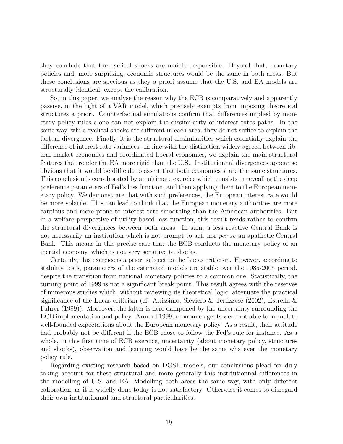they conclude that the cyclical shocks are mainly responsible. Beyond that, monetary policies and, more surprising, economic structures would be the same in both areas. But these conclusions are specious as they a priori assume that the U.S. and EA models are structurally identical, except the calibration.

So, in this paper, we analyse the reason why the ECB is comparatively and apparently passive, in the light of a VAR model, which precisely exempts from imposing theoretical structures a priori. Counterfactual simulations confirm that differences implied by monetary policy rules alone can not explain the dissimilarity of interest rates paths. In the same way, while cyclical shocks are different in each area, they do not suffice to explain the factual divergence. Finally, it is the structural dissimilarities which essentially explain the difference of interest rate variances. In line with the distinction widely agreed between liberal market economies and coordinated liberal economies, we explain the main structural features that render the EA more rigid than the U.S.. Institutionnal divergences appear so obvious that it would be difficult to assert that both economies share the same structures. This conclusion is corroborated by an ultimate exercice which consists in revealing the deep preference parameters of Fed's loss function, and then applying them to the European monetary policy. We demonstrate that with such preferences, the European interest rate would be more volatile. This can lead to think that the European monetary authorities are more cautious and more prone to interest rate smoothing than the American authorities. But in a welfare perspective of utility-based loss function, this result tends rather to confirm the structural divergences between both areas. In sum, a less reactive Central Bank is not necessarily an institution which is not prompt to act, nor *per se* an apathetic Central Bank. This means in this precise case that the ECB conducts the monetary policy of an inertial economy, which is not very sensitive to shocks.

Certainly, this exercice is a priori subject to the Lucas criticism. However, according to stability tests, parameters of the estimated models are stable over the 1985-2005 period, despite the transition from national monetary policies to a common one. Statistically, the turning point of 1999 is not a significant break point. This result agrees with the reserves of numerous studies which, without reviewing its theoretical logic, attenuate the practical significance of the Lucas criticism (cf. Altissimo, Sieviero & Terlizzese (2002), Estrella & Fuhrer (1999)). Moreover, the latter is here dampened by the uncertainty surrounding the ECB implementation and policy. Around 1999, economic agents were not able to formulate well-founded expectations about the European monetary policy. As a result, their attitude had probably not be different if the ECB chose to follow the Fed's rule for instance. As a whole, in this first time of ECB exercice, uncertainty (about monetary policy, structures and shocks), observation and learning would have be the same whatever the monetary policy rule.

Regarding existing research based on DGSE models, our conclusions plead for duly taking account for these structural and more generally this institutionnal differences in the modelling of U.S. and EA. Modelling both areas the same way, with only different calibration, as it is widelly done today is not satisfactory. Otherwise it comes to disregard their own institutionnal and structural particularities.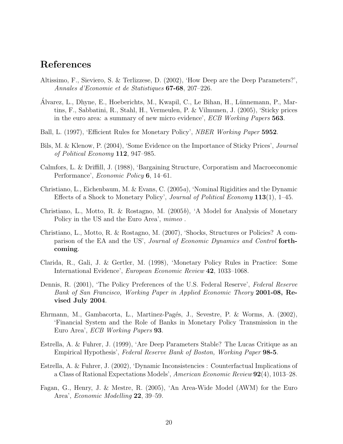### References

- Altissimo, F., Sieviero, S. & Terlizzese, D. (2002), 'How Deep are the Deep Parameters?', Annales d'Economie et de Statistiques 67-68, 207–226.
- Alvarez, L., Dhyne, E., Hoeberichts, M., Kwapil, C., Le Bihan, H., Lünnemann, P., Martins, F., Sabbatini, R., Stahl, H., Vermeulen, P. & Vilmunen, J. (2005), 'Sticky prices in the euro area: a summary of new micro evidence', ECB Working Papers 563.
- Ball, L. (1997), 'Efficient Rules for Monetary Policy', *NBER Working Paper* 5952.
- Bils, M. & Klenow, P. (2004), 'Some Evidence on the Importance of Sticky Prices', Journal of Political Economy 112, 947–985.
- Calmfors, L. & Driffill, J. (1988), 'Bargaining Structure, Corporatism and Macroeconomic Performance', Economic Policy 6, 14–61.
- Christiano, L., Eichenbaum, M. & Evans, C. (2005a), 'Nominal Rigidities and the Dynamic Effects of a Shock to Monetary Policy', Journal of Political Economy 113(1), 1–45.
- Christiano, L., Motto, R. & Rostagno, M. (2005b), 'A Model for Analysis of Monetary Policy in the US and the Euro Area', mimeo.
- Christiano, L., Motto, R. & Rostagno, M. (2007), 'Shocks, Structures or Policies? A comparison of the EA and the US', Journal of Economic Dynamics and Control forthcoming.
- Clarida, R., Gali, J. & Gertler, M. (1998), 'Monetary Policy Rules in Practice: Some International Evidence', European Economic Review 42, 1033–1068.
- Dennis, R. (2001), 'The Policy Preferences of the U.S. Federal Reserve', Federal Reserve Bank of San Francisco, Working Paper in Applied Economic Theory 2001-08, Revised July 2004.
- Ehrmann, M., Gambacorta, L., Martinez-Pagés, J., Sevestre, P. & Worms, A. (2002), 'Financial System and the Role of Banks in Monetary Policy Transmission in the Euro Area', ECB Working Papers 93.
- Estrella, A. & Fuhrer, J. (1999), 'Are Deep Parameters Stable? The Lucas Critique as an Empirical Hypothesis', Federal Reserve Bank of Boston, Working Paper 98-5.
- Estrella, A. & Fuhrer, J. (2002), 'Dynamic Inconsistencies : Counterfactual Implications of a Class of Rational Expectations Models', American Economic Review 92(4), 1013–28.
- Fagan, G., Henry, J. & Mestre, R. (2005), 'An Area-Wide Model (AWM) for the Euro Area', Economic Modelling 22, 39–59.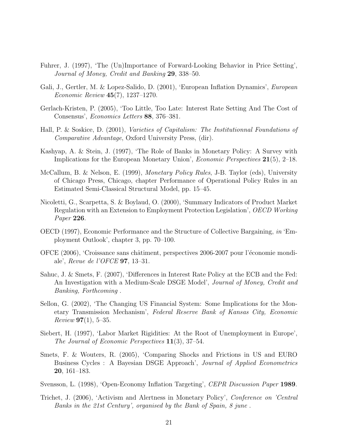- Fuhrer, J. (1997), 'The (Un)Importance of Forward-Looking Behavior in Price Setting', Journal of Money, Credit and Banking 29, 338–50.
- Gali, J., Gertler, M. & Lopez-Salido, D. (2001), 'European Inflation Dynamics', European Economic Review 45(7), 1237–1270.
- Gerlach-Kristen, P. (2005), 'Too Little, Too Late: Interest Rate Setting And The Cost of Consensus', Economics Letters 88, 376–381.
- Hall, P. & Soskice, D. (2001), Varieties of Capitalism: The Institutionnal Foundations of Comparative Advantage, Oxford University Press, (dir).
- Kashyap, A. & Stein, J. (1997), 'The Role of Banks in Monetary Policy: A Survey with Implications for the European Monetary Union', Economic Perspectives 21(5), 2–18.
- McCallum, B. & Nelson, E. (1999), Monetary Policy Rules, J-B. Taylor (eds), University of Chicago Press, Chicago, chapter Performance of Operational Policy Rules in an Estimated Semi-Classical Structural Model, pp. 15–45.
- Nicoletti, G., Scarpetta, S. & Boylaud, O. (2000), 'Summary Indicators of Product Market Regulation with an Extension to Employment Protection Legislation', OECD Working Paper 226.
- OECD (1997), Economic Performance and the Structure of Collective Bargaining, in 'Employment Outlook', chapter 3, pp. 70–100.
- OFCE (2006), 'Croissance sans châtiment, perspectives 2006-2007 pour l'économie mondiale', Revue de l'OFCE 97, 13–31.
- Sahuc, J. & Smets, F. (2007), 'Differences in Interest Rate Policy at the ECB and the Fed: An Investigation with a Medium-Scale DSGE Model', Journal of Money, Credit and Banking, Forthcoming .
- Sellon, G. (2002), 'The Changing US Financial System: Some Implications for the Monetary Transmission Mechanism', Federal Reserve Bank of Kansas City, Economic  $Review 97(1), 5-35.$
- Siebert, H. (1997), 'Labor Market Rigidities: At the Root of Unemployment in Europe', The Journal of Economic Perspectives 11(3), 37–54.
- Smets, F. & Wouters, R. (2005), 'Comparing Shocks and Frictions in US and EURO Business Cycles : A Bayesian DSGE Approach', Journal of Applied Econometrics 20, 161–183.
- Svensson, L. (1998), 'Open-Economy Inflation Targeting', CEPR Discussion Paper 1989.
- Trichet, J. (2006), 'Activism and Alertness in Monetary Policy', Conference on 'Central Banks in the 21st Century', organised by the Bank of Spain, 8 june .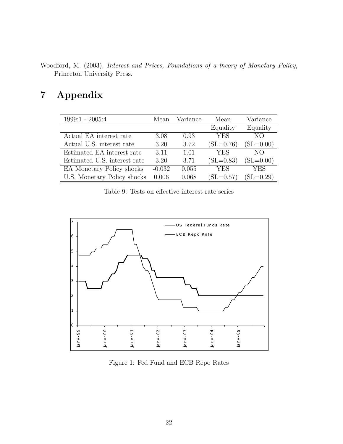Woodford, M. (2003), Interest and Prices, Foundations of a theory of Monetary Policy, Princeton University Press.

# 7 Appendix

| 1999:1 - 2005:4              | Mean     | Variance | Mean        | Variance           |
|------------------------------|----------|----------|-------------|--------------------|
|                              |          |          | Equality    | Equality           |
| Actual EA interest rate      | 3.08     | 0.93     | <b>YES</b>  | NO <sub>1</sub>    |
| Actual U.S. interest rate    | 3.20     | 3.72     | $(SL=0.76)$ | $(SL=0.00)$        |
| Estimated EA interest rate   | 3.11     | 1.01     | <b>YES</b>  | NO.                |
| Estimated U.S. interest rate | 3.20     | 3.71     | $(SL=0.83)$ | $(SL=0.00)$        |
| EA Monetary Policy shocks    | $-0.032$ | 0.055    | <b>YES</b>  | <b>YES</b>         |
| U.S. Monetary Policy shocks  | 0.006    | 0.068    | $(SL=0.57)$ | $\mathrm{SL}=0.29$ |

Table 9: Tests on effective interest rate series



Figure 1: Fed Fund and ECB Repo Rates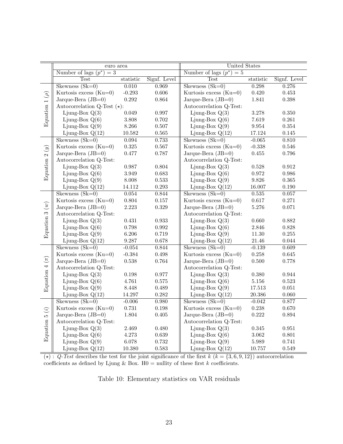|                             | euro area                          |           |              | <b>United States</b>            |                      |              |
|-----------------------------|------------------------------------|-----------|--------------|---------------------------------|----------------------|--------------|
|                             | Number of lags $(p^*)$<br>$=$ 3    |           |              | Number of lags $(p^*)$<br>$= 5$ |                      |              |
|                             | <b>Test</b>                        | statistic | Signf. Level | <b>Test</b>                     | statistic            | Signf. Level |
|                             | Skewness $(Sk=0)$                  | 0.010     | 0.969        | Skewness $(Sk=0)$               | 0.298                | 0.276        |
|                             | Kurtosis excess $(Ku=0)$           | $-0.293$  | $0.606\,$    | Kurtosis excess $(Ku=0)$        | 0.420                | $\,0.453\,$  |
|                             | Jarque-Bera $(JB=0)$               | $0.292\,$ | 0.864        | Jarque-Bera $(JB=0)$            | 1.841                | 0.398        |
|                             | Autocorrelation Q-Test $(\star)$ : |           |              | Autocorrelation Q-Test:         |                      |              |
| Equation 1 $(\rho)$         | Ljung-Box $Q(3)$                   | 0.049     | 0.997        | Ljung-Box $Q(3)$                | 3.278                | 0.350        |
|                             | Ljung-Box $Q(6)$                   | $3.808\,$ | $0.702\,$    | Ljung-Box $Q(6)$                | $7.619\,$            | $\,0.261\,$  |
|                             | Ljung-Box $Q(9)$                   | 8.266     | $0.507\,$    | Ljung-Box $Q(9)$                | $\boldsymbol{9.954}$ | $\,0.354\,$  |
|                             | Ljung-Box $Q(12)$                  | 10.582    | $\,0.565\,$  | Ljung-Box $Q(12)$               | 17.124               | $0.145\,$    |
|                             | Skewness $(Sk=0)$                  | 0.094     | 0.733        | Skewness $(Sk=0)$               | $-0.065$             | 0.810        |
|                             | Kurtosis excess $(Ku=0)$           | 0.325     | $0.567\,$    | Kurtosis excess $(Ku=0)$        | $-0.338$             | $\,0.546\,$  |
|                             | Jarque-Bera $(JB=0)$               | 0.477     | 0.787        | Jarque-Bera $(JB=0)$            | 0.455                | 0.796        |
|                             | Autocorrelation Q-Test:            |           |              | Autocorrelation Q-Test:         |                      |              |
|                             | Ljung-Box $Q(3)$                   | 0.987     | $0.804\,$    | Ljung-Box $Q(3)$                | $0.528\,$            | $\rm 0.912$  |
| Equation 2 $\left(y\right)$ | Ljung-Box $Q(6)$                   | $3.949\,$ | 0.683        | Ljung-Box $Q(6)$                | $\rm 0.972$          | 0.986        |
|                             | Ljung-Box $Q(9)$                   | 8.008     | 0.533        | Ljung-Box $Q(9)$                | 9.826                | $\,0.365\,$  |
|                             | Ljung-Box $Q(12)$                  | 14.112    | $0.293\,$    | Ljung-Box $Q(12)$               | 16.007               | 0.190        |
|                             | Skewness $(Sk=0)$                  | 0.054     | 0.844        | Skewness $(Sk=0)$               | 0.535                | 0.057        |
|                             | Kurtosis excess $(Ku=0)$           | 0.804     | 0.157        | Kurtosis excess $(Ku=0)$        | 0.617                | 0.271        |
|                             | Jarque-Bera $(JB=0)$               | 2.223     | $0.329\,$    | Jarque-Bera $(JB=0)$            | 5.276                | $0.071\,$    |
| Equation 3 $(w)$            | Autocorrelation Q-Test:            |           |              | Autocorrelation Q-Test:         |                      |              |
|                             | Ljung-Box $Q(3)$                   | 0.431     | 0.933        | Ljung-Box $Q(3)$                | 0.660                | 0.882        |
|                             | Ljung-Box $Q(6)$                   | 0.798     | 0.992        | Ljung-Box $Q(6)$                | 2.846                | 0.828        |
|                             | Ljung-Box $Q(9)$                   | 6.206     | 0.719        | Ljung-Box $Q(9)$                | $11.30\,$            | $0.255\,$    |
|                             | Ljung-Box $Q(12)$                  | $9.287\,$ | $0.678\,$    | Ljung-Box $Q(12)$               | $21.46\,$            | $\,0.044\,$  |
|                             | Skewness $(Sk=0)$                  | $-0.054$  | 0.844        | Skewness $(Sk=0)$               | $-0.139$             | 0.609        |
|                             | Kurtosis excess $(Ku=0)$           | $-0.384$  | 0.498        | Kurtosis excess (Ku=0)          | 0.258                | 0.645        |
|                             | Jarque-Bera $(JB=0)$               | $0.538\,$ | 0.764        | Jarque-Bera $(JB=0)$            | $0.500\,$            | 0.778        |
| Equation 4 $(\pi)$          | Autocorrelation Q-Test:            |           |              | Autocorrelation Q-Test:         |                      |              |
|                             | Ljung-Box $Q(3)$                   | 0.198     | 0.977        | Ljung-Box $Q(3)$                | 0.380                | 0.944        |
|                             | Ljung-Box $Q(6)$                   | 4.761     | $0.575\,$    | Ljung-Box $Q(6)$                | $5.156\,$            | $\,0.523\,$  |
|                             | Ljung-Box $Q(9)$                   | 8.448     | 0.489        | Ljung-Box $Q(9)$                | 17.513               | $\,0.051\,$  |
|                             | Ljung-Box $Q(12)$                  | 14.297    | $0.282\,$    | Ljung-Box $Q(12)$               | 20.386               | $0.060\,$    |
|                             | Skewness $(Sk=0)$                  | $-0.006$  | 0.980        | $Skewness(Sk=0)$                | $-0.042$             | 0.877        |
|                             | Kurtosis excess $(Ku=0)$           | 0.731     | $0.198\,$    | Kurtosis excess (Ku=0)          | 0.238                | 0.670        |
|                             | Jarque-Bera $(JB=0)$               | 1.804     | $0.405\,$    | Jarque-Bera $(JB=0)$            | 0.222                | 0.894        |
|                             | Autocorrelation Q-Test:            |           |              | Autocorrelation Q-Test:         |                      |              |
|                             | Ljung-Box $Q(3)$                   | 2.469     | 0.480        | Ljung-Box $Q(3)$                | $0.345\,$            | $\,0.951\,$  |
| Equation 5 $(i)$            | Ljung-Box $Q(6)$                   | 4.273     | $0.639\,$    | Ljung-Box $Q(6)$                | $3.062\,$            | $0.801\,$    |
|                             | Ljung-Box $Q(9)$                   | 6.078     | $\rm 0.732$  | Ljung-Box $Q(9)$                | $5.989\,$            | $0.741\,$    |
|                             | Ljung-Box $Q(12)$                  | 10.380    | 0.583        | Ljung-Box $Q(12)$               | 10.757               | 0.549        |

( $\star$ ) : Q-Test describes the test for the joint significance of the first k ( $k = \{3, 6, 9, 12\}$ ) autocorrelation coefficients as defined by Ljung & Box. H0 = nullity of these first  $k$  coefficients.

Table 10: Elementary statistics on VAR residuals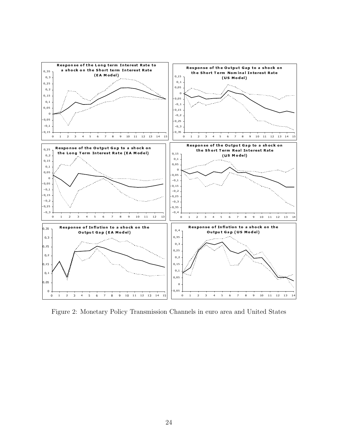

Figure 2: Monetary Policy Transmission Channels in euro area and United States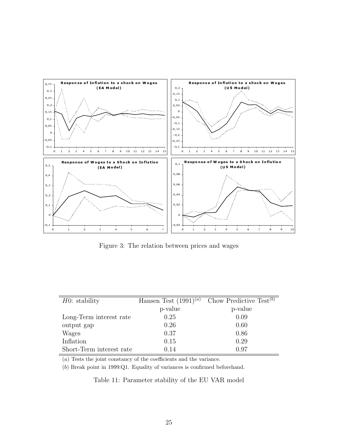

Figure 3: The relation between prices and wages

| $H0:$ stability          | Hansen Test $(1991)^{(a)}$ | Chow Predictive Test $(b)$ |
|--------------------------|----------------------------|----------------------------|
|                          | p-value                    | p-value                    |
| Long-Term interest rate  | 0.25                       | 0.09                       |
| output gap               | 0.26                       | 0.60                       |
| Wages                    | 0.37                       | 0.86                       |
| Inflation                | 0.15                       | 0.29                       |
| Short-Term interest rate | 0.14                       | 0.97                       |

(a) Tests the joint constancy of the coefficients and the variance.

(b) Break point in 1999:Q1. Equality of variances is confirmed beforehand.

Table 11: Parameter stability of the EU VAR model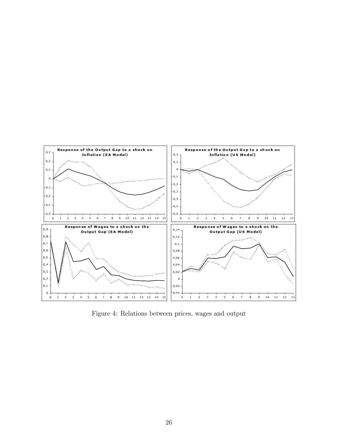

Figure 4: Relations between prices, wages and output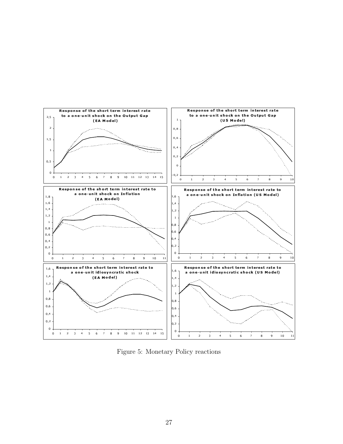

Figure 5: Monetary Policy reactions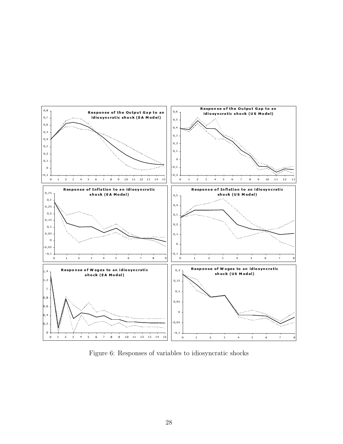

Figure 6: Responses of variables to idiosyncratic shocks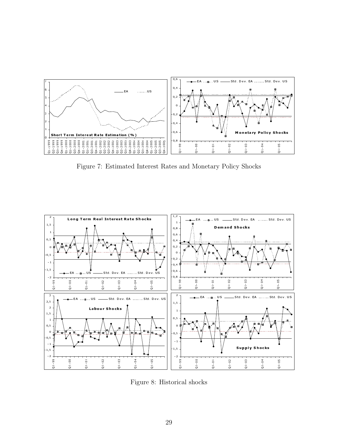

Figure 7: Estimated Interest Rates and Monetary Policy Shocks



Figure 8: Historical shocks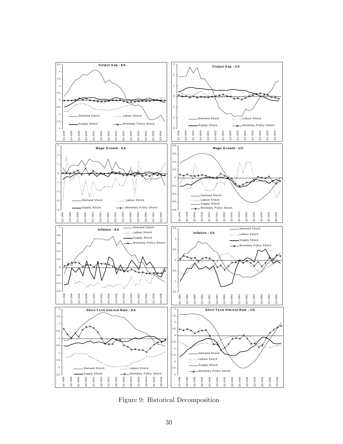

Figure 9: Historical Decomposition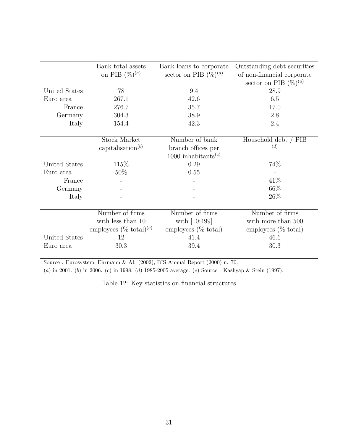|               | Bank total assets                          | Bank loans to corporate                      | Outstanding debt securities    |
|---------------|--------------------------------------------|----------------------------------------------|--------------------------------|
|               | on PIB $(\%)^{(a)}$                        | sector on PIB $(\%)^{(a)}$                   | of non-financial corporate     |
|               |                                            |                                              | sector on PIB $(\%)^{(a)}$     |
| United States | 78                                         | 9.4                                          | 28.9                           |
| Euro area     | 267.1                                      | 42.6                                         | 6.5                            |
| France        | 276.7                                      | 35.7                                         | 17.0                           |
| Germany       | 304.3                                      | 38.9                                         | 2.8                            |
| Italy         | 154.4                                      | 42.3                                         | 2.4                            |
|               |                                            |                                              |                                |
|               | <b>Stock Market</b>                        | Number of bank                               | Household debt / PIB           |
|               | capitalisation <sup><math>(b)</math></sup> | branch offices per                           | (d)                            |
|               |                                            | 1000 inhabitants <sup><math>(c)</math></sup> |                                |
| United States | 115\%                                      | 0.29                                         | 74%                            |
| Euro area     | $50\%$                                     | 0.55                                         |                                |
| France        |                                            |                                              | 41\%                           |
| Germany       |                                            |                                              | 66\%                           |
| Italy         |                                            |                                              | 26\%                           |
|               |                                            |                                              |                                |
|               | Number of firms                            | Number of firms                              | Number of firms                |
|               | with less than 10                          | with $[10;499]$                              | with more than 500             |
|               | employees $(\% \ total)^{(e)}$             | employees $(\% \text{ total})$               | employees $(\% \text{ total})$ |
| United States | 12                                         | 41.4                                         | 46.6                           |
| Euro area     | 30.3                                       | 39.4                                         | 30.3                           |
|               |                                            |                                              |                                |

Source : Eurosystem, Ehrmann & Al. (2002), BIS Annual Report (2000) n. 70.

(a) in 2001. (b) in 2006. (c) in 1998. (d) 1985-2005 average. (e) Source : Kashyap & Stein (1997).

Table 12: Key statistics on financial structures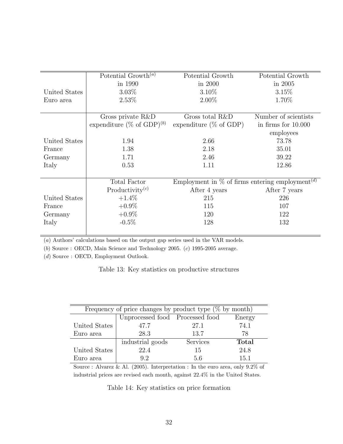|               | Potential Growth <sup>(a)</sup>       | Potential Growth                                               | Potential Growth      |
|---------------|---------------------------------------|----------------------------------------------------------------|-----------------------|
|               | in 1990                               | in 2000                                                        | in 2005               |
| United States | $3.03\%$                              | 3.10%                                                          | 3.15%                 |
| Euro area     | 2.53%                                 | $2.00\%$                                                       | 1.70%                 |
|               |                                       |                                                                |                       |
|               | Gross private R&D                     | Gross total R&D                                                | Number of scientists  |
|               | expenditure (% of GDP) <sup>(b)</sup> | expenditure $(\%$ of GDP)                                      | in firms for $10.000$ |
|               |                                       |                                                                | employees             |
| United States | 1.94                                  | 2.66                                                           | 73.78                 |
| France        | 1.38                                  | 2.18                                                           | 35.01                 |
| Germany       | 1.71                                  | 2.46                                                           | 39.22                 |
| Italy         | 0.53                                  | 1.11                                                           | 12.86                 |
|               |                                       |                                                                |                       |
|               | Total Factor                          | Employment in $\%$ of firms entering employment <sup>(d)</sup> |                       |
|               | Productivity $(c)$                    | After 4 years                                                  | After 7 years         |
| United States | $+1.4\%$                              | 215                                                            | 226                   |
| France        | $+0.9\%$                              | 115                                                            | 107                   |
| Germany       | $+0.9\%$                              | 120                                                            | 122                   |
| Italy         | $-0.5\%$                              | 128                                                            | 132                   |
|               |                                       |                                                                |                       |

(a) Authors' calculations based on the output gap series used in the VAR models.

(b) Source : OECD, Main Science and Technology 2005.  $(c)$  1995-2005 average.

(d) Source : OECD, Employment Outlook.

Table 13: Key statistics on productive structures

| Frequency of price changes by product type $(\%$ by month) |                                 |          |        |  |  |  |
|------------------------------------------------------------|---------------------------------|----------|--------|--|--|--|
|                                                            | Unprocessed food Processed food |          | Energy |  |  |  |
| United States                                              | 47.7                            | 27.1     | 74.1   |  |  |  |
| Euro area                                                  | 28.3                            | 13.7     | 78     |  |  |  |
|                                                            | industrial goods                | Services | Total  |  |  |  |
| United States                                              | 22.4                            | 15       | 24.8   |  |  |  |
| Euro area                                                  | 92                              | 5.6      | 15.1   |  |  |  |

Source : Alvarez & Al. (2005). Interpretation : In the euro area, only 9.2% of industrial prices are revised each month, against 22.4% in the United States.

Table 14: Key statistics on price formation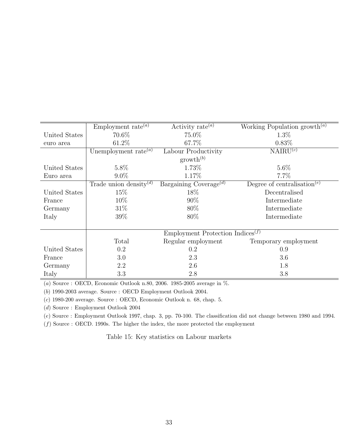|               | Employment rate <sup>(a)</sup>                            | Activity rate $^{(a)}$             | Working Population growth <sup>(a)</sup>             |  |  |
|---------------|-----------------------------------------------------------|------------------------------------|------------------------------------------------------|--|--|
| United States | 70.6%                                                     | 75.0%                              | $1.3\%$                                              |  |  |
| euro area     | 61.2%                                                     | 67.7%                              | $0.83\%$                                             |  |  |
|               | Unemployment rate $^{(a)}$                                | Labour Productivity                | NAIRU <sup>(c)</sup>                                 |  |  |
|               | $growth^{(b)}$                                            |                                    |                                                      |  |  |
| United States | 5.8%                                                      | 1.73%                              | $5.6\%$                                              |  |  |
| Euro area     | $9.0\%$                                                   | 1.17%                              | $7.7\%$                                              |  |  |
|               | Trade union density <sup>(d)</sup>                        | Bargaining Coverage <sup>(d)</sup> | Degree of centralisation <sup><math>(e)</math></sup> |  |  |
| United States | 15\%                                                      | 18%                                | Decentralised                                        |  |  |
| France        | $10\%$                                                    | 90%                                | Intermediate                                         |  |  |
| Germany       | $31\%$                                                    | 80\%                               | Intermediate                                         |  |  |
| Italy         | 39%                                                       | 80%                                | Intermediate                                         |  |  |
|               |                                                           |                                    |                                                      |  |  |
|               | Employment Protection Indices <sup><math>(f)</math></sup> |                                    |                                                      |  |  |
|               | Total                                                     | Regular employment                 | Temporary employment                                 |  |  |
| United States | 0.2                                                       | 0.2                                | 0.9                                                  |  |  |
| France        | 3.0                                                       | 2.3                                | 3.6                                                  |  |  |
| Germany       | 2.2                                                       | 2.6                                | 1.8                                                  |  |  |
| Italy         | 3.3                                                       | 2.8                                | 3.8                                                  |  |  |

(a) Source : OECD, Economic Outlook n.80, 2006. 1985-2005 average in %.

(b) 1990-2003 average. Source : OECD Employment Outlook 2004.

(c) 1980-200 average. Source : OECD, Economic Outlook n. 68, chap. 5.

(d) Source : Employment Outlook 2004

(e) Source : Employment Outlook 1997, chap. 3, pp. 70-100. The classification did not change between 1980 and 1994.

 $(f)$  Source : OECD. 1990s. The higher the index, the more protected the employment

Table 15: Key statistics on Labour markets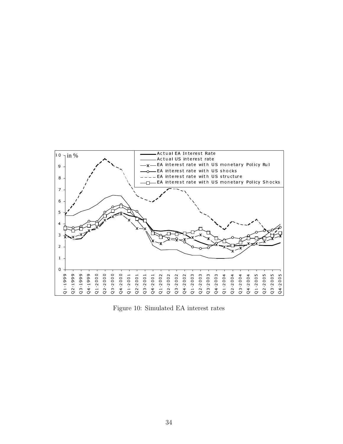

Figure 10: Simulated EA interest rates